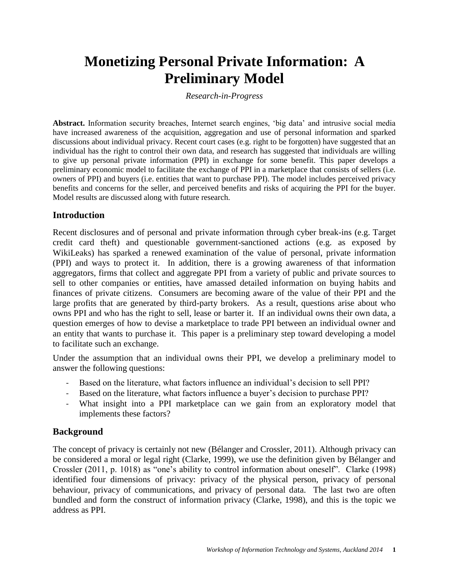# **Monetizing Personal Private Information: A Preliminary Model**

*Research-in-Progress*

**Abstract.** Information security breaches, Internet search engines, 'big data' and intrusive social media have increased awareness of the acquisition, aggregation and use of personal information and sparked discussions about individual privacy. Recent court cases (e.g. right to be forgotten) have suggested that an individual has the right to control their own data, and research has suggested that individuals are willing to give up personal private information (PPI) in exchange for some benefit. This paper develops a preliminary economic model to facilitate the exchange of PPI in a marketplace that consists of sellers (i.e. owners of PPI) and buyers (i.e. entities that want to purchase PPI). The model includes perceived privacy benefits and concerns for the seller, and perceived benefits and risks of acquiring the PPI for the buyer. Model results are discussed along with future research.

## **Introduction**

Recent disclosures and of personal and private information through cyber break-ins (e.g. Target credit card theft) and questionable government-sanctioned actions (e.g. as exposed by WikiLeaks) has sparked a renewed examination of the value of personal, private information (PPI) and ways to protect it. In addition, there is a growing awareness of that information aggregators, firms that collect and aggregate PPI from a variety of public and private sources to sell to other companies or entities, have amassed detailed information on buying habits and finances of private citizens. Consumers are becoming aware of the value of their PPI and the large profits that are generated by third-party brokers. As a result, questions arise about who owns PPI and who has the right to sell, lease or barter it. If an individual owns their own data, a question emerges of how to devise a marketplace to trade PPI between an individual owner and an entity that wants to purchase it. This paper is a preliminary step toward developing a model to facilitate such an exchange.

Under the assumption that an individual owns their PPI, we develop a preliminary model to answer the following questions:

- Based on the literature, what factors influence an individual's decision to sell PPI?
- Based on the literature, what factors influence a buyer's decision to purchase PPI?
- What insight into a PPI marketplace can we gain from an exploratory model that implements these factors?

# **Background**

The concept of privacy is certainly not new (Bélanger and Crossler, 2011). Although privacy can be considered a moral or legal right (Clarke, 1999), we use the definition given by Bélanger and Crossler (2011, p. 1018) as "one's ability to control information about oneself". Clarke (1998) identified four dimensions of privacy: privacy of the physical person, privacy of personal behaviour, privacy of communications, and privacy of personal data. The last two are often bundled and form the construct of information privacy (Clarke, 1998), and this is the topic we address as PPI.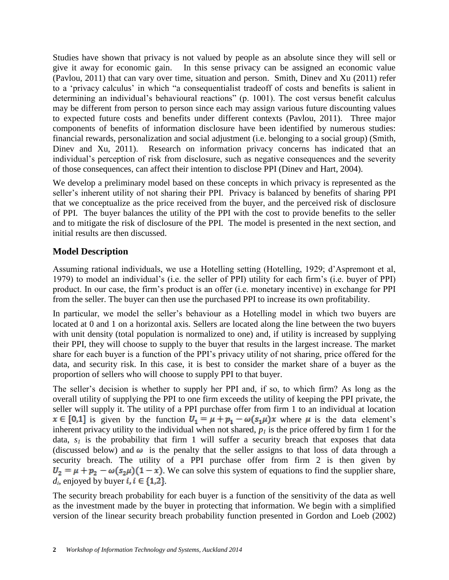Studies have shown that privacy is not valued by people as an absolute since they will sell or give it away for economic gain. In this sense privacy can be assigned an economic value (Pavlou, 2011) that can vary over time, situation and person. Smith, Dinev and Xu (2011) refer to a 'privacy calculus' in which "a consequentialist tradeoff of costs and benefits is salient in determining an individual's behavioural reactions" (p. 1001). The cost versus benefit calculus may be different from person to person since each may assign various future discounting values to expected future costs and benefits under different contexts (Pavlou, 2011). Three major components of benefits of information disclosure have been identified by numerous studies: financial rewards, personalization and social adjustment (i.e. belonging to a social group) (Smith, Dinev and Xu, 2011). Research on information privacy concerns has indicated that an individual's perception of risk from disclosure, such as negative consequences and the severity of those consequences, can affect their intention to disclose PPI (Dinev and Hart, 2004).

We develop a preliminary model based on these concepts in which privacy is represented as the seller's inherent utility of not sharing their PPI. Privacy is balanced by benefits of sharing PPI that we conceptualize as the price received from the buyer, and the perceived risk of disclosure of PPI. The buyer balances the utility of the PPI with the cost to provide benefits to the seller and to mitigate the risk of disclosure of the PPI. The model is presented in the next section, and initial results are then discussed.

# **Model Description**

Assuming rational individuals, we use a Hotelling setting (Hotelling, 1929; d'Aspremont et al, 1979) to model an individual's (i.e. the seller of PPI) utility for each firm's (i.e. buyer of PPI) product. In our case, the firm's product is an offer (i.e. monetary incentive) in exchange for PPI from the seller. The buyer can then use the purchased PPI to increase its own profitability.

In particular, we model the seller's behaviour as a Hotelling model in which two buyers are located at 0 and 1 on a horizontal axis. Sellers are located along the line between the two buyers with unit density (total population is normalized to one) and, if utility is increased by supplying their PPI, they will choose to supply to the buyer that results in the largest increase. The market share for each buyer is a function of the PPI's privacy utility of not sharing, price offered for the data, and security risk. In this case, it is best to consider the market share of a buyer as the proportion of sellers who will choose to supply PPI to that buyer.

The seller's decision is whether to supply her PPI and, if so, to which firm? As long as the overall utility of supplying the PPI to one firm exceeds the utility of keeping the PPI private, the seller will supply it. The utility of a PPI purchase offer from firm 1 to an individual at location  $x \in [0,1]$  is given by the function  $U_1 = \mu + p_1 - \omega(s_1\mu)x$  where  $\mu$  is the data element's inherent privacy utility to the individual when not shared,  $p_l$  is the price offered by firm 1 for the data,  $s<sub>l</sub>$  is the probability that firm 1 will suffer a security breach that exposes that data (discussed below) and  $\omega$  is the penalty that the seller assigns to that loss of data through a security breach. The utility of a PPI purchase offer from firm 2 is then given by  $U_2 = \mu + p_2 - \omega(s_2\mu)(1-x)$ . We can solve this system of equations to find the supplier share,  $d_i$ , enjoyed by buyer  $i, i \in \{1,2\}$ .

The security breach probability for each buyer is a function of the sensitivity of the data as well as the investment made by the buyer in protecting that information. We begin with a simplified version of the linear security breach probability function presented in Gordon and Loeb (2002)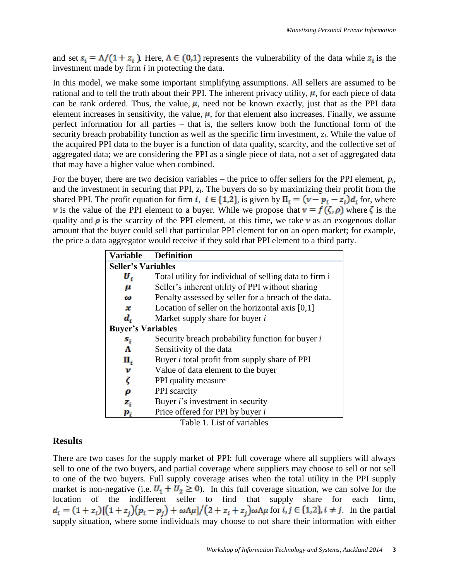and set  $s_i = \Lambda/(1 + z_i)$ . Here,  $\Lambda \in (0,1)$  represents the vulnerability of the data while  $z_i$  is the investment made by firm *i* in protecting the data.

In this model, we make some important simplifying assumptions. All sellers are assumed to be rational and to tell the truth about their PPI. The inherent privacy utility,  $\mu$ , for each piece of data can be rank ordered. Thus, the value,  $\mu$ , need not be known exactly, just that as the PPI data element increases in sensitivity, the value,  $\mu$ , for that element also increases. Finally, we assume perfect information for all parties – that is, the sellers know both the functional form of the security breach probability function as well as the specific firm investment, *z<sup>i</sup>* . While the value of the acquired PPI data to the buyer is a function of data quality, scarcity, and the collective set of aggregated data; we are considering the PPI as a single piece of data, not a set of aggregated data that may have a higher value when combined.

For the buyer, there are two decision variables – the price to offer sellers for the PPI element, *p<sup>i</sup>* , and the investment in securing that PPI, *z<sup>i</sup>* . The buyers do so by maximizing their profit from the shared PPI. The profit equation for firm *i*,  $i \in \{1,2\}$ , is given by  $\Pi_i = (v - p_i - z_i)d_i$  for, where v is the value of the PPI element to a buyer. While we propose that  $v = f(\zeta, \rho)$  where  $\zeta$  is the quality and  $\rho$  is the scarcity of the PPI element, at this time, we take  $\nu$  as an exogenous dollar amount that the buyer could sell that particular PPI element for on an open market; for example, the price a data aggregator would receive if they sold that PPI element to a third party.

| <b>Variable</b>           | <b>Definition</b>                                      |
|---------------------------|--------------------------------------------------------|
| <b>Seller's Variables</b> |                                                        |
| U,                        | Total utility for individual of selling data to firm i |
| μ                         | Seller's inherent utility of PPI without sharing       |
| ω                         | Penalty assessed by seller for a breach of the data.   |
| x                         | Location of seller on the horizontal axis $[0,1]$      |
| $d_i$                     | Market supply share for buyer i                        |
| <b>Buyer's Variables</b>  |                                                        |
| $s_i$                     | Security breach probability function for buyer i       |
| Λ                         | Sensitivity of the data                                |
| П,                        | Buyer <i>i</i> total profit from supply share of PPI   |
| ν                         | Value of data element to the buyer                     |
| ζ                         | PPI quality measure                                    |
| ρ                         | PPI scarcity                                           |
| $\mathbf{z}_i$            | Buyer <i>i</i> 's investment in security               |
| $\boldsymbol{p}_i$        | Price offered for PPI by buyer i                       |

Table 1. List of variables

#### **Results**

There are two cases for the supply market of PPI: full coverage where all suppliers will always sell to one of the two buyers, and partial coverage where suppliers may choose to sell or not sell to one of the two buyers. Full supply coverage arises when the total utility in the PPI supply market is non-negative (i.e.  $U_1 + U_2 \ge 0$ ). In this full coverage situation, we can solve for the location of the indifferent seller to find that supply share for each firm, for  $i, j \in \{1, 2\}, i \neq j$ . In the partial supply situation, where some individuals may choose to not share their information with either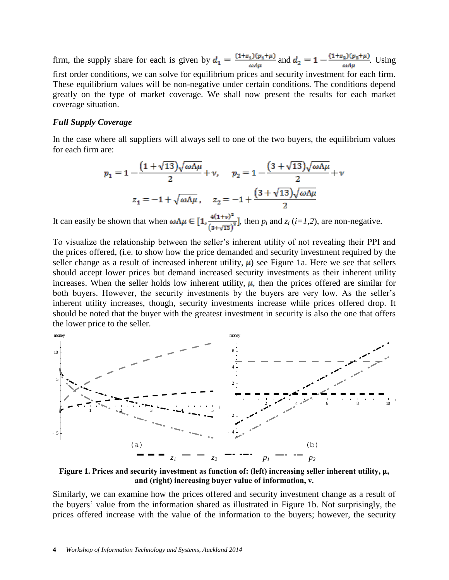firm, the supply share for each is given by  $d_1 = \frac{(1+z_1)(p_1+\mu)}{\omega A\mu}$  and  $d_2 = 1 - \frac{(1+z_2)(p_2+\mu)}{\omega A\mu}$ . Using first order conditions, we can solve for equilibrium prices and security investment for each firm. These equilibrium values will be non-negative under certain conditions. The conditions depend greatly on the type of market coverage. We shall now present the results for each market coverage situation.

#### *Full Supply Coverage*

In the case where all suppliers will always sell to one of the two buyers, the equilibrium values for each firm are:

$$
p_1 = 1 - \frac{\left(1 + \sqrt{13}\right)\sqrt{\omega\Lambda\mu}}{2} + v, \quad p_2 = 1 - \frac{\left(3 + \sqrt{13}\right)\sqrt{\omega\Lambda\mu}}{2} + v
$$

$$
z_1 = -1 + \sqrt{\omega\Lambda\mu}, \quad z_2 = -1 + \frac{\left(3 + \sqrt{13}\right)\sqrt{\omega\Lambda\mu}}{2}
$$

It can easily be shown that when  $\omega \Lambda \mu \in \left[1, \frac{4(1+v)^2}{(3+\sqrt{13})^2}\right]$ , then  $p_i$  and  $z_i$  (*i*=*1,2*), are non-negative.

To visualize the relationship between the seller's inherent utility of not revealing their PPI and the prices offered, (i.e. to show how the price demanded and security investment required by the seller change as a result of increased inherent utility,  $\mu$ ) see [Figure 1a](#page-3-0). Here we see that sellers should accept lower prices but demand increased security investments as their inherent utility increases. When the seller holds low inherent utility,  $\mu$ , then the prices offered are similar for both buyers. However, the security investments by the buyers are very low. As the seller's inherent utility increases, though, security investments increase while prices offered drop. It should be noted that the buyer with the greatest investment in security is also the one that offers the lower price to the seller.



<span id="page-3-0"></span>**Figure 1. Prices and security investment as function of: (left) increasing seller inherent utility, μ, and (right) increasing buyer value of information, ν.**

Similarly, we can examine how the prices offered and security investment change as a result of the buyers' value from the information shared as illustrated in Figure 1b. Not surprisingly, the prices offered increase with the value of the information to the buyers; however, the security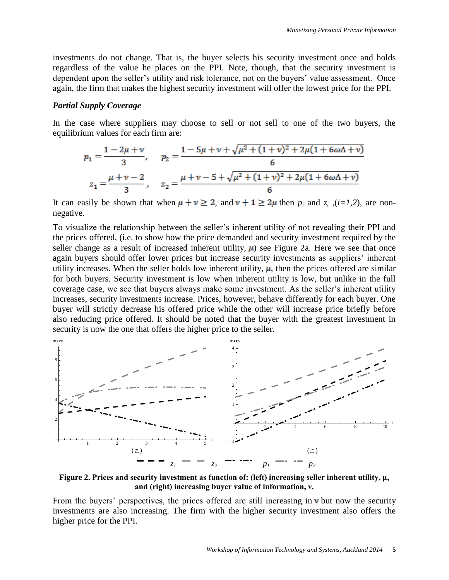investments do not change. That is, the buyer selects his security investment once and holds regardless of the value he places on the PPI. Note, though, that the security investment is dependent upon the seller's utility and risk tolerance, not on the buyers' value assessment. Once again, the firm that makes the highest security investment will offer the lowest price for the PPI.

#### *Partial Supply Coverage*

In the case where suppliers may choose to sell or not sell to one of the two buyers, the equilibrium values for each firm are:

$$
p_1 = \frac{1 - 2\mu + \nu}{3}, \quad p_2 = \frac{1 - 5\mu + \nu + \sqrt{\mu^2 + (1 + \nu)^2 + 2\mu(1 + 6\omega\Lambda + \nu)}}{6}
$$

$$
z_1 = \frac{\mu + \nu - 2}{3}, \quad z_2 = \frac{\mu + \nu - 5 + \sqrt{\mu^2 + (1 + \nu)^2 + 2\mu(1 + 6\omega\Lambda + \nu)}}{6}
$$

It can easily be shown that when  $\mu + \nu \geq 2$ , and  $\nu + 1 \geq 2\mu$  then  $p_i$  and  $z_i$ , (*i*=1,2), are nonnegative.

To visualize the relationship between the seller's inherent utility of not revealing their PPI and the prices offered, (i.e. to show how the price demanded and security investment required by the seller change as a result of increased inherent utility,  $\mu$ ) see Figure 2a. Here we see that once again buyers should offer lower prices but increase security investments as suppliers' inherent utility increases. When the seller holds low inherent utility,  $\mu$ , then the prices offered are similar for both buyers. Security investment is low when inherent utility is low, but unlike in the full coverage case, we see that buyers always make some investment. As the seller's inherent utility increases, security investments increase. Prices, however, behave differently for each buyer. One buyer will strictly decrease his offered price while the other will increase price briefly before also reducing price offered. It should be noted that the buyer with the greatest investment in security is now the one that offers the higher price to the seller.



**Figure 2. Prices and security investment as function of: (left) increasing seller inherent utility, μ, and (right) increasing buyer value of information, ν.**

From the buyers' perspectives, the prices offered are still increasing in  $\nu$  but now the security investments are also increasing. The firm with the higher security investment also offers the higher price for the PPI.